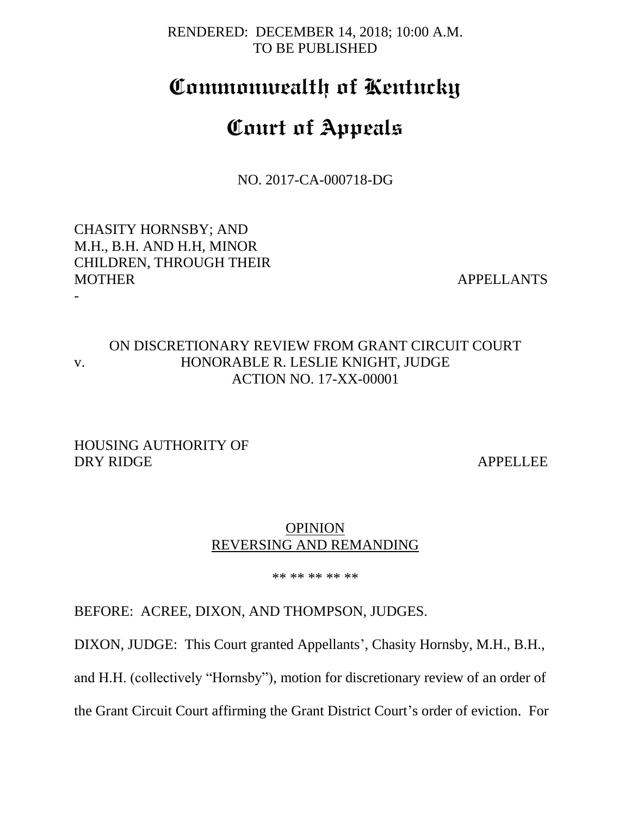RENDERED: DECEMBER 14, 2018; 10:00 A.M. TO BE PUBLISHED

## **Commonwealth of Kentucky**

# **Court of Appeals**

NO. 2017-CA-000718-DG

CHASITY HORNSBY; AND M.H., B.H. AND H.H, MINOR CHILDREN, THROUGH THEIR MOTHER APPELLANTS

-

### ON DISCRETIONARY REVIEW FROM GRANT CIRCUIT COURT v. HONORABLE R. LESLIE KNIGHT, JUDGE ACTION NO. 17-XX-00001

HOUSING AUTHORITY OF DRY RIDGE APPELLEE

#### **OPINION** REVERSING AND REMANDING

\*\* \*\* \*\* \*\* \*\*

BEFORE: ACREE, DIXON, AND THOMPSON, JUDGES.

DIXON, JUDGE: This Court granted Appellants', Chasity Hornsby, M.H., B.H.,

and H.H. (collectively "Hornsby"), motion for discretionary review of an order of

the Grant Circuit Court affirming the Grant District Court's order of eviction. For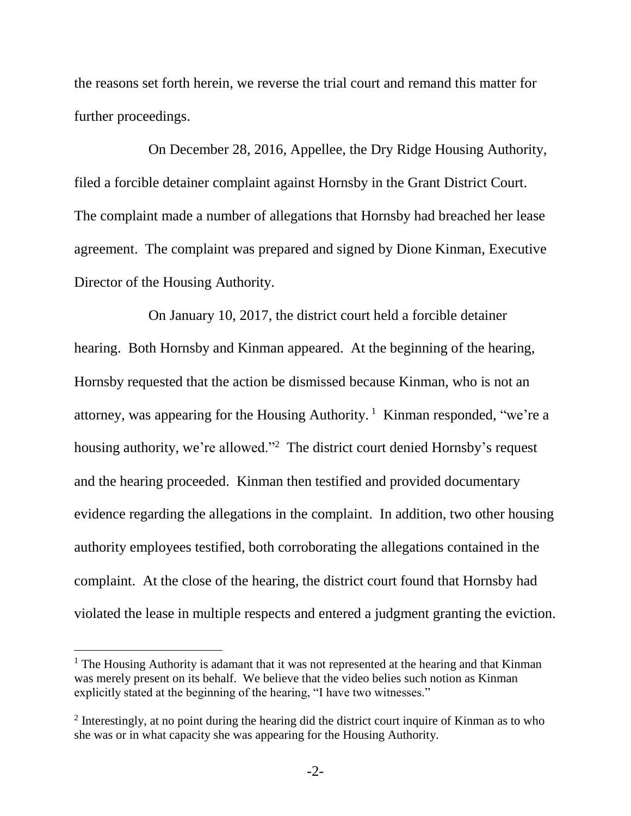the reasons set forth herein, we reverse the trial court and remand this matter for further proceedings.

On December 28, 2016, Appellee, the Dry Ridge Housing Authority, filed a forcible detainer complaint against Hornsby in the Grant District Court. The complaint made a number of allegations that Hornsby had breached her lease agreement. The complaint was prepared and signed by Dione Kinman, Executive Director of the Housing Authority.

On January 10, 2017, the district court held a forcible detainer hearing. Both Hornsby and Kinman appeared. At the beginning of the hearing, Hornsby requested that the action be dismissed because Kinman, who is not an attorney, was appearing for the Housing Authority.<sup>1</sup> Kinman responded, "we're a housing authority, we're allowed."<sup>2</sup> The district court denied Hornsby's request and the hearing proceeded. Kinman then testified and provided documentary evidence regarding the allegations in the complaint. In addition, two other housing authority employees testified, both corroborating the allegations contained in the complaint. At the close of the hearing, the district court found that Hornsby had violated the lease in multiple respects and entered a judgment granting the eviction.

 $\overline{a}$ 

<sup>&</sup>lt;sup>1</sup> The Housing Authority is adamant that it was not represented at the hearing and that Kinman was merely present on its behalf. We believe that the video belies such notion as Kinman explicitly stated at the beginning of the hearing, "I have two witnesses."

 $2$  Interestingly, at no point during the hearing did the district court inquire of Kinman as to who she was or in what capacity she was appearing for the Housing Authority.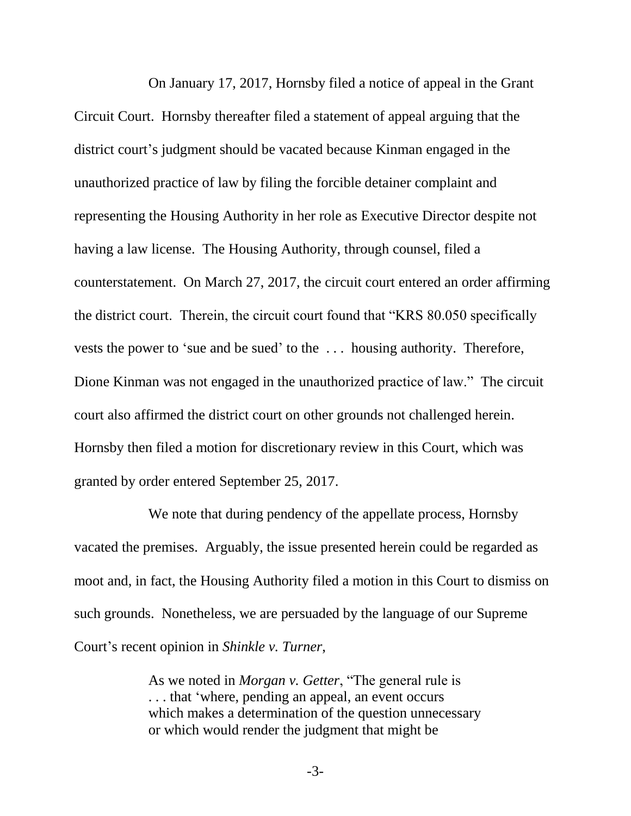On January 17, 2017, Hornsby filed a notice of appeal in the Grant Circuit Court. Hornsby thereafter filed a statement of appeal arguing that the district court's judgment should be vacated because Kinman engaged in the unauthorized practice of law by filing the forcible detainer complaint and representing the Housing Authority in her role as Executive Director despite not having a law license. The Housing Authority, through counsel, filed a counterstatement. On March 27, 2017, the circuit court entered an order affirming the district court. Therein, the circuit court found that "KRS 80.050 specifically vests the power to 'sue and be sued' to the . . . housing authority. Therefore, Dione Kinman was not engaged in the unauthorized practice of law." The circuit court also affirmed the district court on other grounds not challenged herein. Hornsby then filed a motion for discretionary review in this Court, which was granted by order entered September 25, 2017.

We note that during pendency of the appellate process, Hornsby vacated the premises. Arguably, the issue presented herein could be regarded as moot and, in fact, the Housing Authority filed a motion in this Court to dismiss on such grounds. Nonetheless, we are persuaded by the language of our Supreme Court's recent opinion in *Shinkle v. Turner*,

> As we noted in *Morgan v. Getter*, "The general rule is . . . that 'where, pending an appeal, an event occurs which makes a determination of the question unnecessary or which would render the judgment that might be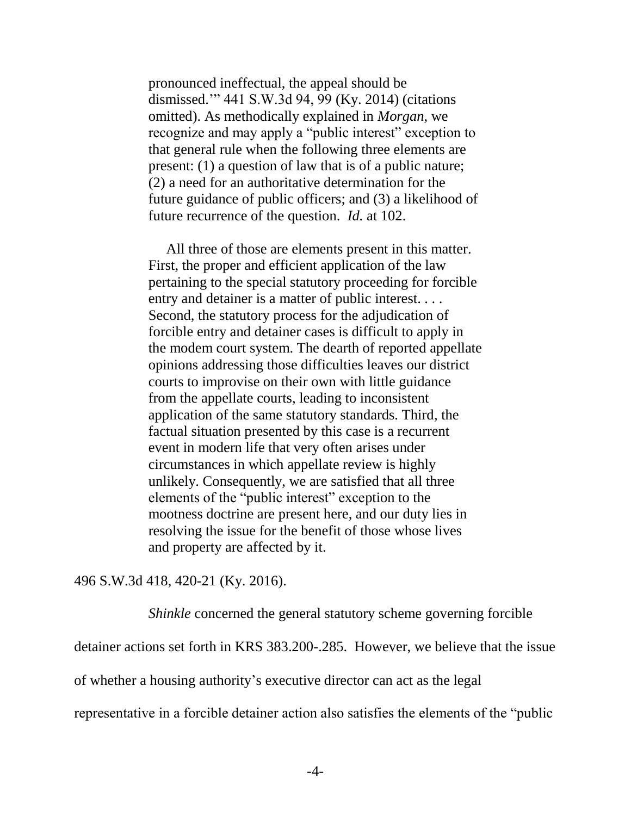pronounced ineffectual, the appeal should be dismissed.'" 441 S.W.3d 94, 99 (Ky. 2014) (citations omitted). As methodically explained in *Morgan*, we recognize and may apply a "public interest" exception to that general rule when the following three elements are present: (1) a question of law that is of a public nature; (2) a need for an authoritative determination for the future guidance of public officers; and (3) a likelihood of future recurrence of the question. *Id.* at 102.

 All three of those are elements present in this matter. First, the proper and efficient application of the law pertaining to the special statutory proceeding for forcible entry and detainer is a matter of public interest. . . . Second, the statutory process for the adjudication of forcible entry and detainer cases is difficult to apply in the modem court system. The dearth of reported appellate opinions addressing those difficulties leaves our district courts to improvise on their own with little guidance from the appellate courts, leading to inconsistent application of the same statutory standards. Third, the factual situation presented by this case is a recurrent event in modern life that very often arises under circumstances in which appellate review is highly unlikely. Consequently, we are satisfied that all three elements of the "public interest" exception to the mootness doctrine are present here, and our duty lies in resolving the issue for the benefit of those whose lives and property are affected by it.

496 S.W.3d 418, 420-21 (Ky. 2016).

*Shinkle* concerned the general statutory scheme governing forcible

detainer actions set forth in KRS 383.200-.285. However, we believe that the issue

of whether a housing authority's executive director can act as the legal

representative in a forcible detainer action also satisfies the elements of the "public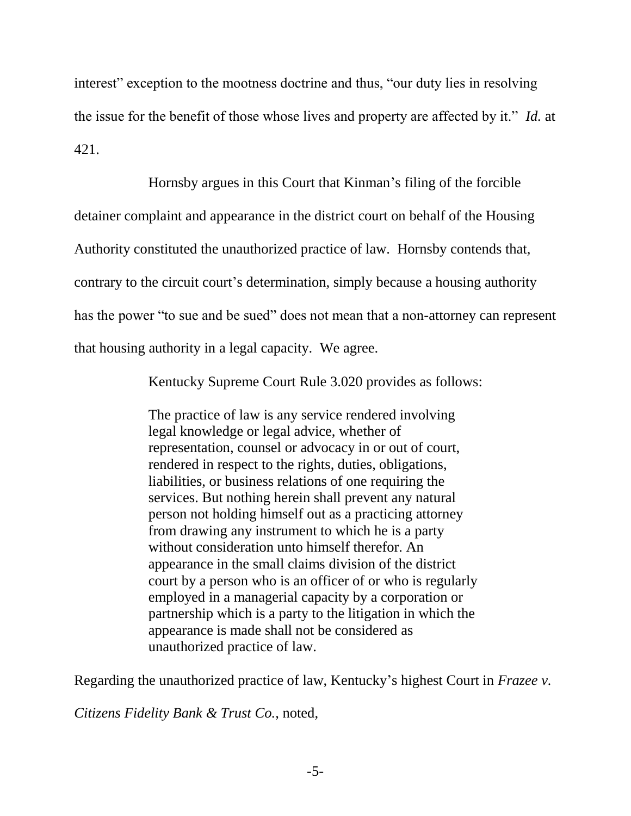interest" exception to the mootness doctrine and thus, "our duty lies in resolving the issue for the benefit of those whose lives and property are affected by it." *Id.* at 421.

Hornsby argues in this Court that Kinman's filing of the forcible detainer complaint and appearance in the district court on behalf of the Housing Authority constituted the unauthorized practice of law. Hornsby contends that, contrary to the circuit court's determination, simply because a housing authority has the power "to sue and be sued" does not mean that a non-attorney can represent that housing authority in a legal capacity. We agree.

Kentucky Supreme Court Rule 3.020 provides as follows:

The practice of law is any service rendered involving legal knowledge or legal advice, whether of representation, counsel or advocacy in or out of court, rendered in respect to the rights, duties, obligations, liabilities, or business relations of one requiring the services. But nothing herein shall prevent any natural person not holding himself out as a practicing attorney from drawing any instrument to which he is a party without consideration unto himself therefor. An appearance in the small claims division of the district court by a person who is an officer of or who is regularly employed in a managerial capacity by a corporation or partnership which is a party to the litigation in which the appearance is made shall not be considered as unauthorized practice of law.

Regarding the unauthorized practice of law, Kentucky's highest Court in *Frazee v.* 

*Citizens Fidelity Bank & Trust Co.*, noted,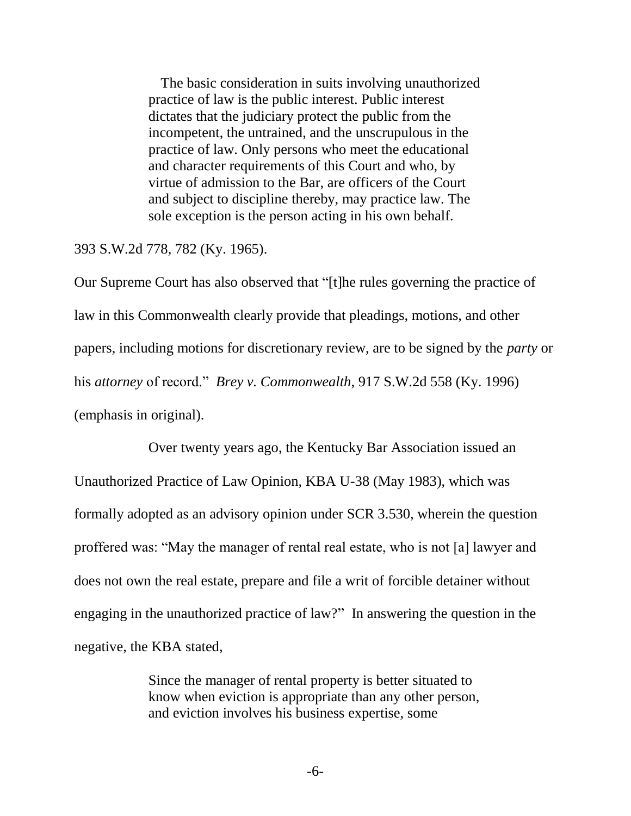The basic consideration in suits involving unauthorized practice of law is the public interest. Public interest dictates that the judiciary protect the public from the incompetent, the untrained, and the unscrupulous in the practice of law. Only persons who meet the educational and character requirements of this Court and who, by virtue of admission to the Bar, are officers of the Court and subject to discipline thereby, may practice law. The sole exception is the person acting in his own behalf.

393 S.W.2d 778, 782 (Ky. 1965).

Our Supreme Court has also observed that "[t]he rules governing the practice of law in this Commonwealth clearly provide that pleadings, motions, and other papers, including motions for discretionary review, are to be signed by the *party* or his *attorney* of record." *Brey v. Commonwealth*, 917 S.W.2d 558 (Ky. 1996) (emphasis in original).

Over twenty years ago, the Kentucky Bar Association issued an Unauthorized Practice of Law Opinion, KBA U-38 (May 1983), which was formally adopted as an advisory opinion under SCR 3.530, wherein the question proffered was: "May the manager of rental real estate, who is not [a] lawyer and does not own the real estate, prepare and file a writ of forcible detainer without engaging in the unauthorized practice of law?" In answering the question in the negative, the KBA stated,

> Since the manager of rental property is better situated to know when eviction is appropriate than any other person, and eviction involves his business expertise, some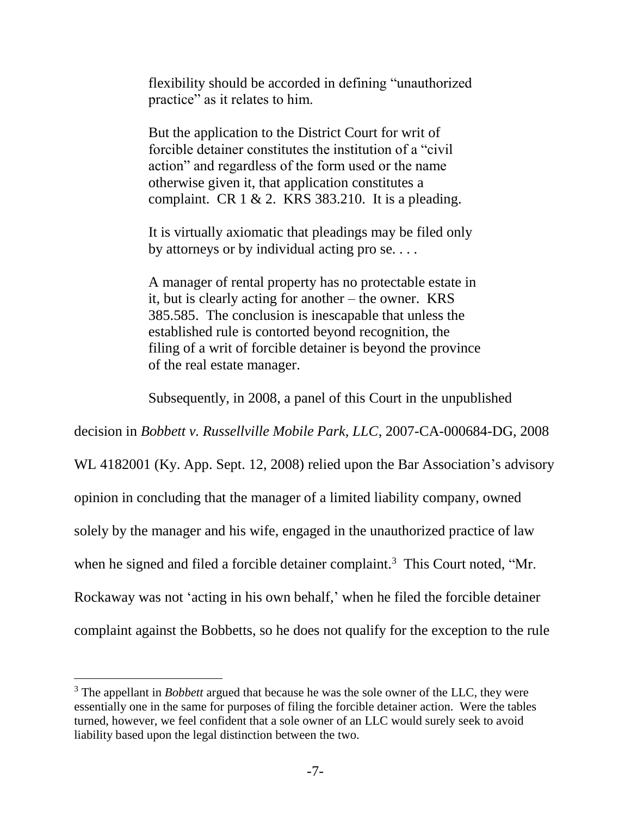flexibility should be accorded in defining "unauthorized practice" as it relates to him.

But the application to the District Court for writ of forcible detainer constitutes the institution of a "civil action" and regardless of the form used or the name otherwise given it, that application constitutes a complaint. CR  $1 \& 2$ . KRS 383.210. It is a pleading.

It is virtually axiomatic that pleadings may be filed only by attorneys or by individual acting pro se. . . .

A manager of rental property has no protectable estate in it, but is clearly acting for another – the owner. KRS 385.585. The conclusion is inescapable that unless the established rule is contorted beyond recognition, the filing of a writ of forcible detainer is beyond the province of the real estate manager.

Subsequently, in 2008, a panel of this Court in the unpublished

decision in *Bobbett v. Russellville Mobile Park, LLC*, 2007-CA-000684-DG, 2008

WL 4182001 (Ky. App. Sept. 12, 2008) relied upon the Bar Association's advisory opinion in concluding that the manager of a limited liability company, owned solely by the manager and his wife, engaged in the unauthorized practice of law when he signed and filed a forcible detainer complaint.<sup>3</sup> This Court noted, "Mr. Rockaway was not 'acting in his own behalf,' when he filed the forcible detainer complaint against the Bobbetts, so he does not qualify for the exception to the rule

l

<sup>3</sup> The appellant in *Bobbett* argued that because he was the sole owner of the LLC, they were essentially one in the same for purposes of filing the forcible detainer action. Were the tables turned, however, we feel confident that a sole owner of an LLC would surely seek to avoid liability based upon the legal distinction between the two.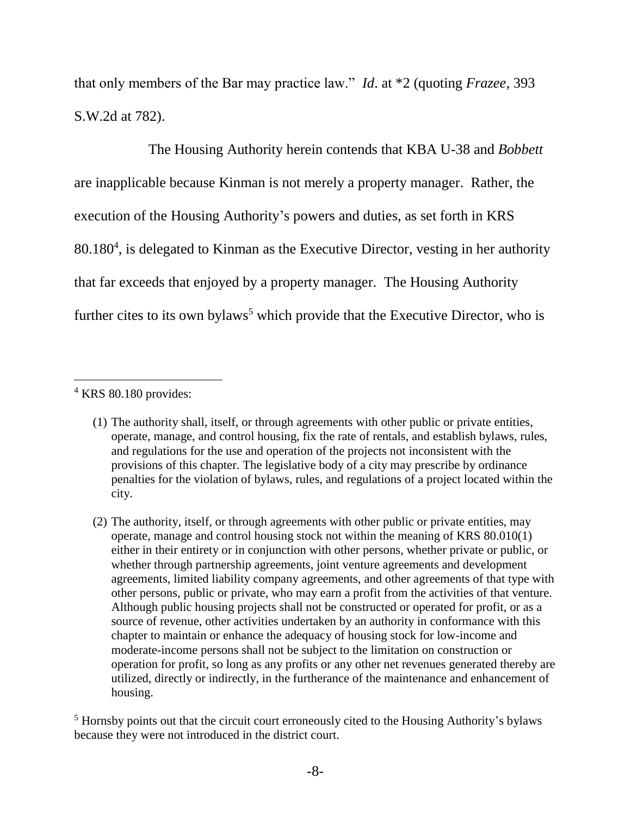that only members of the Bar may practice law." *Id*. at \*2 (quoting *Frazee*, 393 S.W.2d at 782).

The Housing Authority herein contends that KBA U-38 and *Bobbett* are inapplicable because Kinman is not merely a property manager. Rather, the execution of the Housing Authority's powers and duties, as set forth in KRS 80.180<sup>4</sup> , is delegated to Kinman as the Executive Director, vesting in her authority that far exceeds that enjoyed by a property manager. The Housing Authority further cites to its own bylaws<sup>5</sup> which provide that the Executive Director, who is

<sup>5</sup> Hornsby points out that the circuit court erroneously cited to the Housing Authority's bylaws because they were not introduced in the district court.

l  $4$  KRS 80.180 provides:

<sup>(1)</sup> The authority shall, itself, or through agreements with other public or private entities, operate, manage, and control housing, fix the rate of rentals, and establish bylaws, rules, and regulations for the use and operation of the projects not inconsistent with the provisions of this chapter. The legislative body of a city may prescribe by ordinance penalties for the violation of bylaws, rules, and regulations of a project located within the city.

<sup>(2)</sup> The authority, itself, or through agreements with other public or private entities, may operate, manage and control housing stock not within the meaning of KRS 80.010(1) either in their entirety or in conjunction with other persons, whether private or public, or whether through partnership agreements, joint venture agreements and development agreements, limited liability company agreements, and other agreements of that type with other persons, public or private, who may earn a profit from the activities of that venture. Although public housing projects shall not be constructed or operated for profit, or as a source of revenue, other activities undertaken by an authority in conformance with this chapter to maintain or enhance the adequacy of housing stock for low-income and moderate-income persons shall not be subject to the limitation on construction or operation for profit, so long as any profits or any other net revenues generated thereby are utilized, directly or indirectly, in the furtherance of the maintenance and enhancement of housing.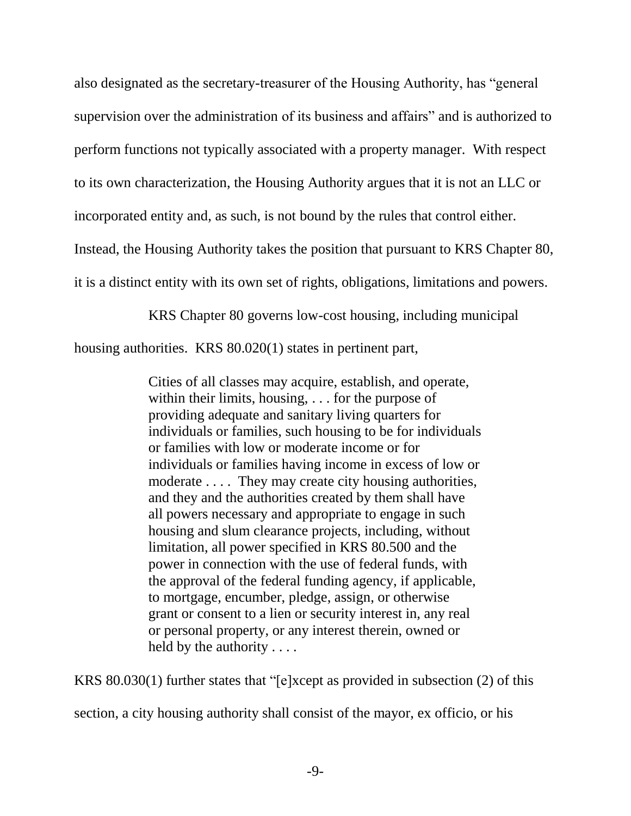also designated as the secretary-treasurer of the Housing Authority, has "general supervision over the administration of its business and affairs" and is authorized to perform functions not typically associated with a property manager. With respect to its own characterization, the Housing Authority argues that it is not an LLC or incorporated entity and, as such, is not bound by the rules that control either. Instead, the Housing Authority takes the position that pursuant to KRS Chapter 80, it is a distinct entity with its own set of rights, obligations, limitations and powers.

KRS Chapter 80 governs low-cost housing, including municipal

housing authorities. KRS 80.020(1) states in pertinent part,

Cities of all classes may acquire, establish, and operate, within their limits, housing, . . . for the purpose of providing adequate and sanitary living quarters for individuals or families, such housing to be for individuals or families with low or moderate income or for individuals or families having income in excess of low or moderate .... They may create city housing authorities, and they and the authorities created by them shall have all powers necessary and appropriate to engage in such housing and slum clearance projects, including, without limitation, all power specified in KRS 80.500 and the power in connection with the use of federal funds, with the approval of the federal funding agency, if applicable, to mortgage, encumber, pledge, assign, or otherwise grant or consent to a lien or security interest in, any real or personal property, or any interest therein, owned or held by the authority . . . .

KRS 80.030(1) further states that "[e]xcept as provided in subsection (2) of this

section, a city housing authority shall consist of the mayor, ex officio, or his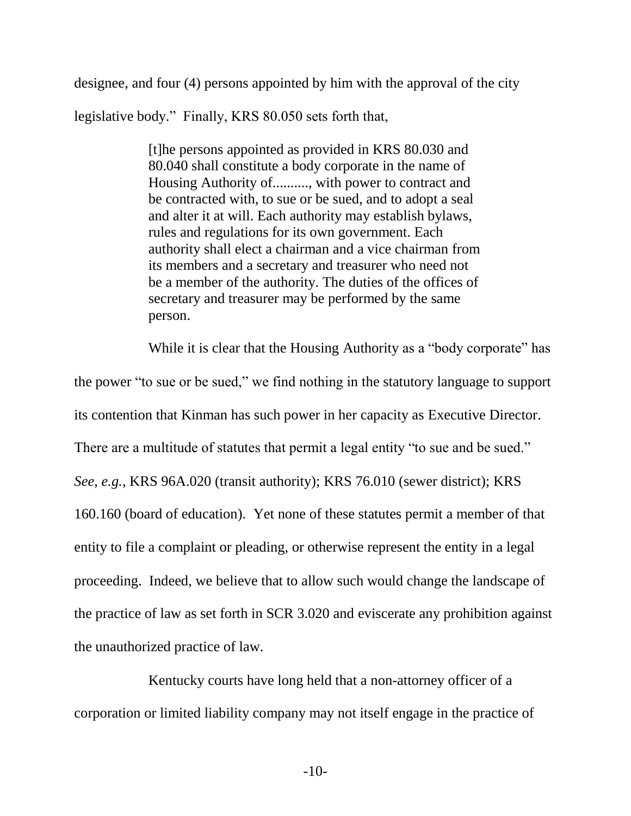designee, and four (4) persons appointed by him with the approval of the city

legislative body." Finally, KRS 80.050 sets forth that,

[t]he persons appointed as provided in KRS 80.030 and 80.040 shall constitute a body corporate in the name of Housing Authority of.........., with power to contract and be contracted with, to sue or be sued, and to adopt a seal and alter it at will. Each authority may establish bylaws, rules and regulations for its own government. Each authority shall elect a chairman and a vice chairman from its members and a secretary and treasurer who need not be a member of the authority. The duties of the offices of secretary and treasurer may be performed by the same person.

While it is clear that the Housing Authority as a "body corporate" has the power "to sue or be sued," we find nothing in the statutory language to support its contention that Kinman has such power in her capacity as Executive Director. There are a multitude of statutes that permit a legal entity "to sue and be sued." *See, e.g.*, KRS 96A.020 (transit authority); KRS 76.010 (sewer district); KRS 160.160 (board of education). Yet none of these statutes permit a member of that entity to file a complaint or pleading, or otherwise represent the entity in a legal proceeding. Indeed, we believe that to allow such would change the landscape of the practice of law as set forth in SCR 3.020 and eviscerate any prohibition against the unauthorized practice of law.

Kentucky courts have long held that a non-attorney officer of a corporation or limited liability company may not itself engage in the practice of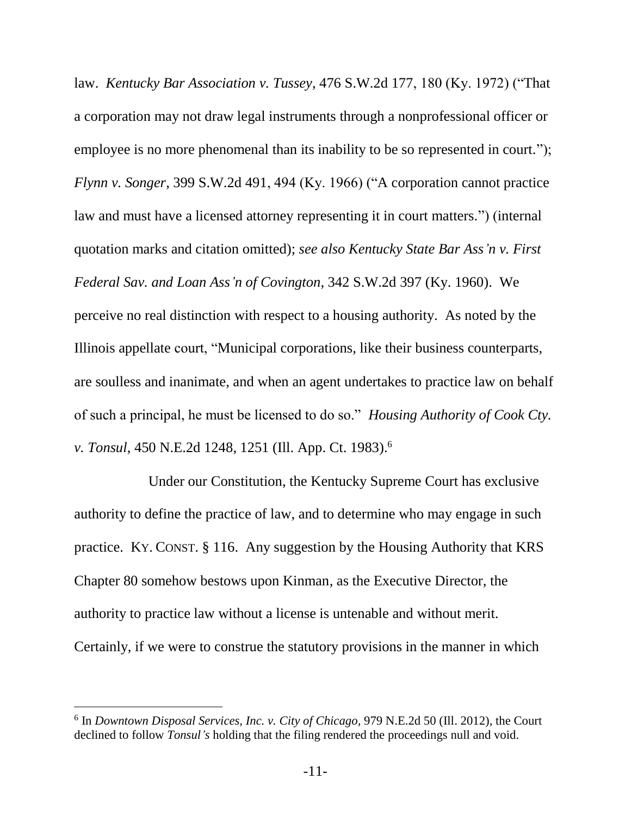law. *Kentucky Bar Association v. Tussey*, 476 S.W.2d 177, 180 (Ky. 1972) ("That a corporation may not draw legal instruments through a nonprofessional officer or employee is no more phenomenal than its inability to be so represented in court."); *Flynn v. Songer*, 399 S.W.2d 491, 494 (Ky. 1966) ("A corporation cannot practice law and must have a licensed attorney representing it in court matters.") (internal quotation marks and citation omitted); *see also Kentucky State Bar Ass'n v. First Federal Sav. and Loan Ass'n of Covington*, 342 S.W.2d 397 (Ky. 1960). We perceive no real distinction with respect to a housing authority. As noted by the Illinois appellate court, "Municipal corporations, like their business counterparts, are soulless and inanimate, and when an agent undertakes to practice law on behalf of such a principal, he must be licensed to do so." *Housing Authority of Cook Cty. v. Tonsul*, 450 N.E.2d 1248, 1251 (Ill. App. Ct. 1983). 6

Under our Constitution, the Kentucky Supreme Court has exclusive authority to define the practice of law, and to determine who may engage in such practice. KY. CONST. § 116. Any suggestion by the Housing Authority that KRS Chapter 80 somehow bestows upon Kinman, as the Executive Director, the authority to practice law without a license is untenable and without merit. Certainly, if we were to construe the statutory provisions in the manner in which

 $\overline{a}$ 

<sup>6</sup> In *Downtown Disposal Services, Inc. v. City of Chicago,* 979 N.E.2d 50 (Ill. 2012), the Court declined to follow *Tonsul's* holding that the filing rendered the proceedings null and void.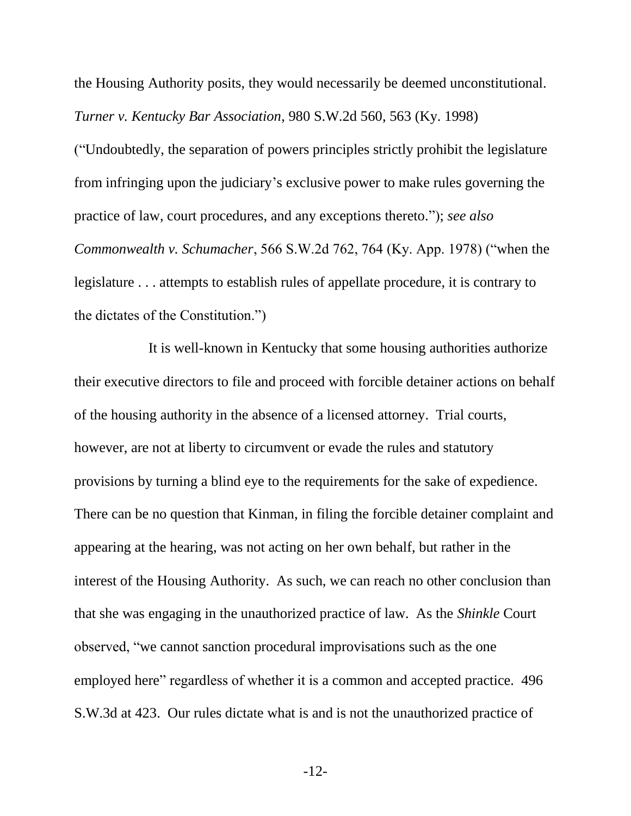the Housing Authority posits, they would necessarily be deemed unconstitutional. *Turner v. Kentucky Bar Association*, 980 S.W.2d 560, 563 (Ky. 1998)

("Undoubtedly, the separation of powers principles strictly prohibit the legislature from infringing upon the judiciary's exclusive power to make rules governing the practice of law, court procedures, and any exceptions thereto."); *see also Commonwealth v. Schumacher*, 566 S.W.2d 762, 764 (Ky. App. 1978) ("when the legislature . . . attempts to establish rules of appellate procedure, it is contrary to the dictates of the Constitution.")

It is well-known in Kentucky that some housing authorities authorize their executive directors to file and proceed with forcible detainer actions on behalf of the housing authority in the absence of a licensed attorney. Trial courts, however, are not at liberty to circumvent or evade the rules and statutory provisions by turning a blind eye to the requirements for the sake of expedience. There can be no question that Kinman, in filing the forcible detainer complaint and appearing at the hearing, was not acting on her own behalf, but rather in the interest of the Housing Authority. As such, we can reach no other conclusion than that she was engaging in the unauthorized practice of law. As the *Shinkle* Court observed, "we cannot sanction procedural improvisations such as the one employed here" regardless of whether it is a common and accepted practice. 496 S.W.3d at 423. Our rules dictate what is and is not the unauthorized practice of

-12-